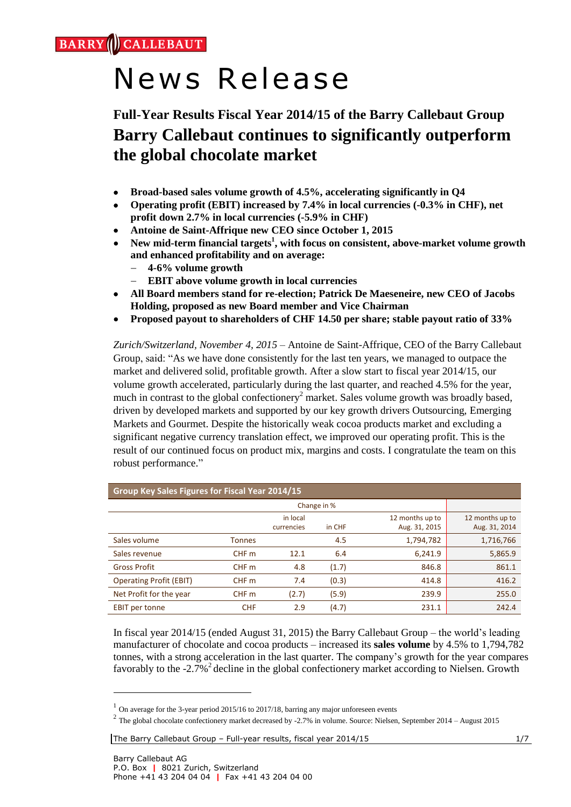**CALLEBAUT BARRY** 

# News Release

# **Full-Year Results Fiscal Year 2014/15 of the Barry Callebaut Group Barry Callebaut continues to significantly outperform the global chocolate market**

- **Broad-based sales volume growth of 4.5%, accelerating significantly in Q4**
- **Operating profit (EBIT) increased by 7.4% in local currencies (-0.3% in CHF), net profit down 2.7% in local currencies (-5.9% in CHF)**
- **Antoine de Saint-Affrique new CEO since October 1, 2015**
- **New mid-term financial targets<sup>1</sup> , with focus on consistent, above-market volume growth and enhanced profitability and on average:**
	- **4-6% volume growth**
	- **EBIT above volume growth in local currencies**
- **All Board members stand for re-election; Patrick De Maeseneire, new CEO of Jacobs Holding, proposed as new Board member and Vice Chairman**
- **Proposed payout to shareholders of CHF 14.50 per share; stable payout ratio of 33%**

*Zurich/Switzerland, November 4, 2015* – Antoine de Saint-Affrique, CEO of the Barry Callebaut Group, said: "As we have done consistently for the last ten years, we managed to outpace the market and delivered solid, profitable growth. After a slow start to fiscal year 2014/15, our volume growth accelerated, particularly during the last quarter, and reached 4.5% for the year, much in contrast to the global confectionery<sup>2</sup> market. Sales volume growth was broadly based, driven by developed markets and supported by our key growth drivers Outsourcing, Emerging Markets and Gourmet. Despite the historically weak cocoa products market and excluding a significant negative currency translation effect, we improved our operating profit. This is the result of our continued focus on product mix, margins and costs. I congratulate the team on this robust performance."

| Group Key Sales Figures for Fiscal Year 2014/15 |               |                        |        |                                  |                                  |  |  |  |  |  |
|-------------------------------------------------|---------------|------------------------|--------|----------------------------------|----------------------------------|--|--|--|--|--|
|                                                 |               |                        |        |                                  |                                  |  |  |  |  |  |
|                                                 |               | in local<br>currencies | in CHF | 12 months up to<br>Aug. 31, 2015 | 12 months up to<br>Aug. 31, 2014 |  |  |  |  |  |
| Sales volume                                    | <b>Tonnes</b> |                        | 4.5    | 1,794,782                        | 1,716,766                        |  |  |  |  |  |
| Sales revenue                                   | CHF m         | 12.1                   | 6.4    | 6,241.9                          | 5,865.9                          |  |  |  |  |  |
| <b>Gross Profit</b>                             | CHF m         | 4.8                    | (1.7)  | 846.8                            | 861.1                            |  |  |  |  |  |
| <b>Operating Profit (EBIT)</b>                  | CHF m         | 7.4                    | (0.3)  | 414.8                            | 416.2                            |  |  |  |  |  |
| Net Profit for the year                         | CHF m         | (2.7)                  | (5.9)  | 239.9                            | 255.0                            |  |  |  |  |  |
| <b>EBIT</b> per tonne                           | <b>CHF</b>    | 2.9                    | (4.7)  | 231.1                            | 242.4                            |  |  |  |  |  |

In fiscal year 2014/15 (ended August 31, 2015) the Barry Callebaut Group – the world's leading manufacturer of chocolate and cocoa products – increased its **sales volume** by 4.5% to 1,794,782 tonnes, with a strong acceleration in the last quarter. The company's growth for the year compares favorably to the -2.7%<sup>2</sup> decline in the global confectionery market according to Nielsen. Growth

The Barry Callebaut Group – Full-year results, fiscal year 2014/15 1/7

1

<sup>&</sup>lt;sup>1</sup> On average for the 3-year period 2015/16 to 2017/18, barring any major unforeseen events

 $2$  The global chocolate confectionery market decreased by -2.7% in volume. Source: Nielsen, September 2014 – August 2015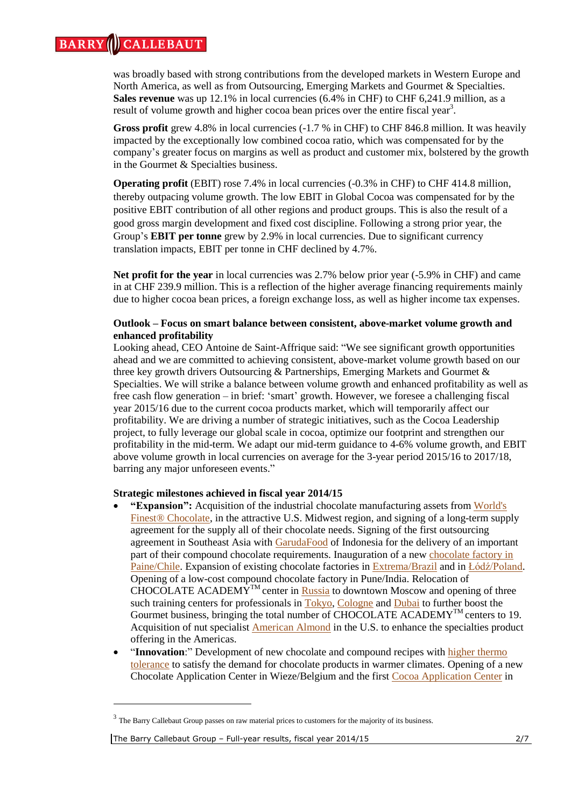was broadly based with strong contributions from the developed markets in Western Europe and North America, as well as from Outsourcing, Emerging Markets and Gourmet & Specialties. **Sales revenue** was up 12.1% in local currencies (6.4% in CHF) to CHF 6,241.9 million, as a result of volume growth and higher cocoa bean prices over the entire fiscal year<sup>3</sup>.

**Gross profit** grew 4.8% in local currencies (-1.7 % in CHF) to CHF 846.8 million. It was heavily impacted by the exceptionally low combined cocoa ratio, which was compensated for by the company's greater focus on margins as well as product and customer mix, bolstered by the growth in the Gourmet & Specialties business.

**Operating profit** (EBIT) rose 7.4% in local currencies (-0.3% in CHF) to CHF 414.8 million, thereby outpacing volume growth. The low EBIT in Global Cocoa was compensated for by the positive EBIT contribution of all other regions and product groups. This is also the result of a good gross margin development and fixed cost discipline. Following a strong prior year, the Group's **EBIT per tonne** grew by 2.9% in local currencies. Due to significant currency translation impacts, EBIT per tonne in CHF declined by 4.7%.

**Net profit for the year** in local currencies was 2.7% below prior year (-5.9% in CHF) and came in at CHF 239.9 million. This is a reflection of the higher average financing requirements mainly due to higher cocoa bean prices, a foreign exchange loss, as well as higher income tax expenses.

# **Outlook – Focus on smart balance between consistent, above-market volume growth and enhanced profitability**

Looking ahead, CEO Antoine de Saint-Affrique said: "We see significant growth opportunities ahead and we are committed to achieving consistent, above-market volume growth based on our three key growth drivers Outsourcing & Partnerships, Emerging Markets and Gourmet & Specialties. We will strike a balance between volume growth and enhanced profitability as well as free cash flow generation – in brief: 'smart' growth. However, we foresee a challenging fiscal year 2015/16 due to the current cocoa products market, which will temporarily affect our profitability. We are driving a number of strategic initiatives, such as the Cocoa Leadership project, to fully leverage our global scale in cocoa, optimize our footprint and strengthen our profitability in the mid-term. We adapt our mid-term guidance to 4-6% volume growth, and EBIT above volume growth in local currencies on average for the 3-year period 2015/16 to 2017/18, barring any major unforeseen events."

# **Strategic milestones achieved in fiscal year 2014/15**

- **"Expansion":** Acquisition of the industrial chocolate manufacturing assets from [World's](https://www.barry-callebaut.com/news/2015/02/barry-callebaut-strengthen-its-manufacturing-footprint-north-america)  [Finest® Chocolate,](https://www.barry-callebaut.com/news/2015/02/barry-callebaut-strengthen-its-manufacturing-footprint-north-america) in the attractive U.S. Midwest region, and signing of a long-term supply agreement for the supply all of their chocolate needs. Signing of the first outsourcing agreement in Southeast Asia with [GarudaFood](https://www.barry-callebaut.com/garuda-food) of Indonesia for the delivery of an important part of their compound chocolate requirements. Inauguration of a new [chocolate factory in](https://www.barry-callebaut.com/news/2014/08/barry-callebaut-opens-first-chocolate-factory-chile)  [Paine/Chile.](https://www.barry-callebaut.com/news/2014/08/barry-callebaut-opens-first-chocolate-factory-chile) Expansion of existing chocolate factories in [Extrema/Brazil](https://www.barry-callebaut.com/news/2014/10/barry-callebaut-announces-expansion-plan-brazilian-factory) and in [Łódź/Poland.](https://www.barry-callebaut.com/news/2014/11/barry-callebaut-expand-its-chocolate-plant-lodz-and-boost-employment) Opening of a low-cost compound chocolate factory in Pune/India. Relocation of CHOCOLATE ACADEMY<sup>TM</sup> center in [Russia](https://www.barry-callebaut.com/news/2015/03/barry-callebaut-inaugurates-new-modernized-chocolate-training-center-russia%E2%80%99s-capital) to downtown Moscow and opening of three such training centers for professionals i[n Tokyo,](https://www.barry-callebaut.com/news/2015/06/barry-callebaut-unveils-its-latest-addition-its-state-art-string-chocolate-academy) [Cologne](https://www.barry-callebaut.com/news/2015/02/barry-callebaut-opened-chocolate-academy-center-cologne) and [Dubai](https://www.barry-callebaut.com/news/2015/01/barry-callebaut-inaugurates-new-chocolate-academy%E2%84%A2-center-middle-east) to further boost the Gourmet business, bringing the total number of CHOCOLATE ACADEMYTM centers to 19. Acquisition of nut specialist [American Almond](https://www.barry-callebaut.com/news/2015/06/barry-callebaut-acquire-assets-american-almond) in the U.S. to enhance the specialties product offering in the Americas.
- "**Innovation**:" Development of new chocolate and compound recipes with [higher thermo](https://www.barry-callebaut.com/hot-chocolate)  [tolerance](https://www.barry-callebaut.com/hot-chocolate) to satisfy the demand for chocolate products in warmer climates. Opening of a new Chocolate Application Center in Wieze/Belgium and the first [Cocoa Application Center](https://www.barry-callebaut.com/news/2015/05/differentiation-through-innovation) in

-

 $3$  The Barry Callebaut Group passes on raw material prices to customers for the majority of its business.

The Barry Callebaut Group – Full-year results, fiscal year 2014/15 2/7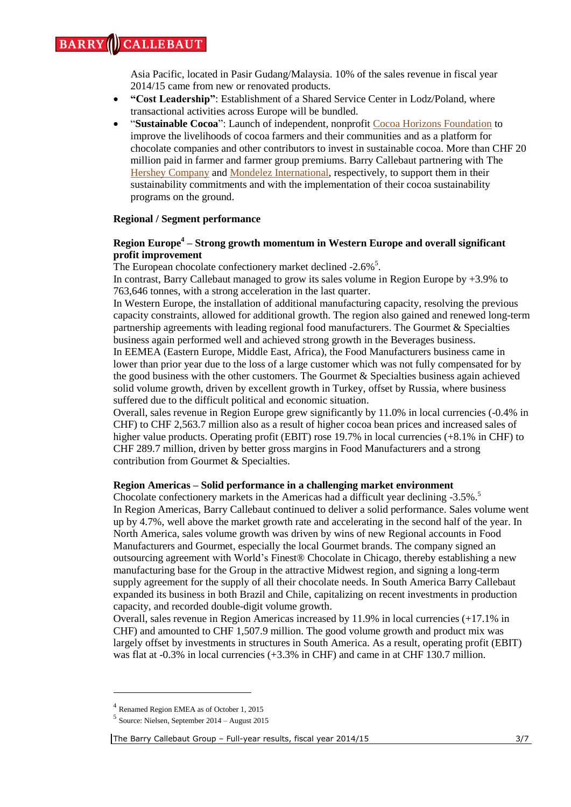Asia Pacific, located in Pasir Gudang/Malaysia. 10% of the sales revenue in fiscal year 2014/15 came from new or renovated products.

- **"Cost Leadership"**: Establishment of a Shared Service Center in Lodz/Poland, where transactional activities across Europe will be bundled.
- "**Sustainable Cocoa**": Launch of independent, nonprofit [Cocoa Horizons Foundation](https://www.barry-callebaut.com/news/2015/09/barry-callebaut-launches-cocoa-horizons-foundation) to improve the livelihoods of cocoa farmers and their communities and as a platform for chocolate companies and other contributors to invest in sustainable cocoa. More than CHF 20 million paid in farmer and farmer group premiums. Barry Callebaut partnering with The Hershey [Company](https://www.barry-callebaut.com/news/2015/08/latest-hershey-learn-grow-program-benefit-8000-cocoa-farmers-c%C3%B4te-d%E2%80%99ivoire) and [Mondelez International,](https://www.barry-callebaut.com/news/2015/10/barry-callebaut-partner-mondelez-scale-their-cocoa-life-program) respectively, to support them in their sustainability commitments and with the implementation of their cocoa sustainability programs on the ground.

# **Regional / Segment performance**

# **Region Europe<sup>4</sup> – Strong growth momentum in Western Europe and overall significant profit improvement**

The European chocolate confectionery market declined -2.6%<sup>5</sup>.

In contrast, Barry Callebaut managed to grow its sales volume in Region Europe by +3.9% to 763,646 tonnes, with a strong acceleration in the last quarter.

In Western Europe, the installation of additional manufacturing capacity, resolving the previous capacity constraints, allowed for additional growth. The region also gained and renewed long-term partnership agreements with leading regional food manufacturers. The Gourmet & Specialties business again performed well and achieved strong growth in the Beverages business.

In EEMEA (Eastern Europe, Middle East, Africa), the Food Manufacturers business came in lower than prior year due to the loss of a large customer which was not fully compensated for by the good business with the other customers. The Gourmet & Specialties business again achieved solid volume growth, driven by excellent growth in Turkey, offset by Russia, where business suffered due to the difficult political and economic situation.

Overall, sales revenue in Region Europe grew significantly by 11.0% in local currencies (-0.4% in CHF) to CHF 2,563.7 million also as a result of higher cocoa bean prices and increased sales of higher value products. Operating profit (EBIT) rose 19.7% in local currencies (+8.1% in CHF) to CHF 289.7 million, driven by better gross margins in Food Manufacturers and a strong contribution from Gourmet & Specialties.

# **Region Americas – Solid performance in a challenging market environment**

Chocolate confectionery markets in the Americas had a difficult year declining -3.5%.<sup>5</sup> In Region Americas, Barry Callebaut continued to deliver a solid performance. Sales volume went up by 4.7%, well above the market growth rate and accelerating in the second half of the year. In North America, sales volume growth was driven by wins of new Regional accounts in Food Manufacturers and Gourmet, especially the local Gourmet brands. The company signed an outsourcing agreement with World's Finest® Chocolate in Chicago, thereby establishing a new manufacturing base for the Group in the attractive Midwest region, and signing a long-term supply agreement for the supply of all their chocolate needs. In South America Barry Callebaut expanded its business in both Brazil and Chile, capitalizing on recent investments in production capacity, and recorded double-digit volume growth.

Overall, sales revenue in Region Americas increased by 11.9% in local currencies (+17.1% in CHF) and amounted to CHF 1,507.9 million. The good volume growth and product mix was largely offset by investments in structures in South America. As a result, operating profit (EBIT) was flat at -0.3% in local currencies (+3.3% in CHF) and came in at CHF 130.7 million.

1

<sup>4</sup> Renamed Region EMEA as of October 1, 2015

<sup>5</sup> Source: Nielsen, September 2014 – August 2015

The Barry Callebaut Group – Full-year results, fiscal year 2014/15 3/7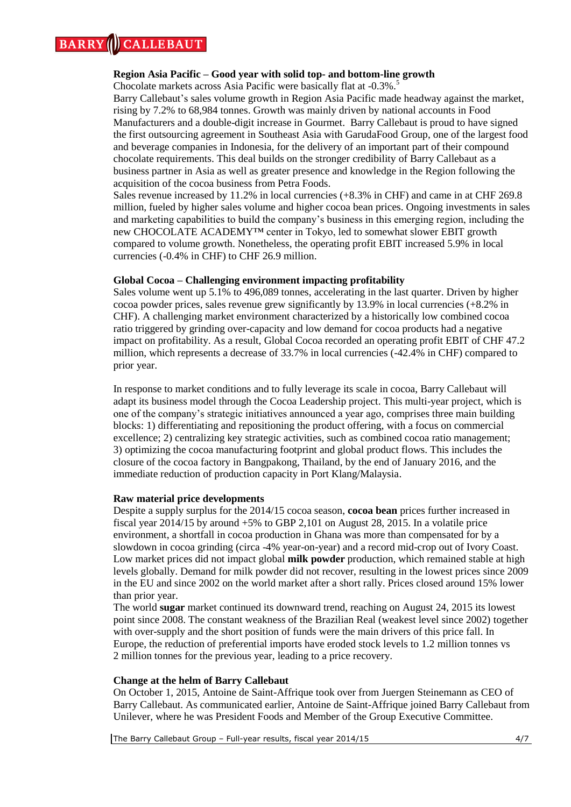#### **CALLEBAUT BARRY**

# **Region Asia Pacific – Good year with solid top- and bottom-line growth**

Chocolate markets across Asia Pacific were basically flat at -0.3%.<sup>5</sup>

Barry Callebaut's sales volume growth in Region Asia Pacific made headway against the market, rising by 7.2% to 68,984 tonnes. Growth was mainly driven by national accounts in Food Manufacturers and a double-digit increase in Gourmet. Barry Callebaut is proud to have signed the first outsourcing agreement in Southeast Asia with GarudaFood Group, one of the largest food and beverage companies in Indonesia, for the delivery of an important part of their compound chocolate requirements. This deal builds on the stronger credibility of Barry Callebaut as a business partner in Asia as well as greater presence and knowledge in the Region following the acquisition of the cocoa business from Petra Foods.

Sales revenue increased by 11.2% in local currencies  $(+8.3\%$  in CHF) and came in at CHF 269.8 million, fueled by higher sales volume and higher cocoa bean prices. Ongoing investments in sales and marketing capabilities to build the company's business in this emerging region, including the new CHOCOLATE ACADEMY™ center in Tokyo, led to somewhat slower EBIT growth compared to volume growth. Nonetheless, the operating profit EBIT increased 5.9% in local currencies (-0.4% in CHF) to CHF 26.9 million.

# **Global Cocoa – Challenging environment impacting profitability**

Sales volume went up 5.1% to 496,089 tonnes, accelerating in the last quarter. Driven by higher cocoa powder prices, sales revenue grew significantly by 13.9% in local currencies (+8.2% in CHF). A challenging market environment characterized by a historically low combined cocoa ratio triggered by grinding over-capacity and low demand for cocoa products had a negative impact on profitability. As a result, Global Cocoa recorded an operating profit EBIT of CHF 47.2 million, which represents a decrease of 33.7% in local currencies (-42.4% in CHF) compared to prior year.

In response to market conditions and to fully leverage its scale in cocoa, Barry Callebaut will adapt its business model through the Cocoa Leadership project. This multi-year project, which is one of the company's strategic initiatives announced a year ago, comprises three main building blocks: 1) differentiating and repositioning the product offering, with a focus on commercial excellence; 2) centralizing key strategic activities, such as combined cocoa ratio management; 3) optimizing the cocoa manufacturing footprint and global product flows. This includes the closure of the cocoa factory in Bangpakong, Thailand, by the end of January 2016, and the immediate reduction of production capacity in Port Klang/Malaysia.

## **Raw material price developments**

Despite a supply surplus for the 2014/15 cocoa season, **cocoa bean** prices further increased in fiscal year 2014/15 by around +5% to GBP 2,101 on August 28, 2015. In a volatile price environment, a shortfall in cocoa production in Ghana was more than compensated for by a slowdown in cocoa grinding (circa -4% year-on-year) and a record mid-crop out of Ivory Coast. Low market prices did not impact global **milk powder** production, which remained stable at high levels globally. Demand for milk powder did not recover, resulting in the lowest prices since 2009 in the EU and since 2002 on the world market after a short rally. Prices closed around 15% lower than prior year.

The world **sugar** market continued its downward trend, reaching on August 24, 2015 its lowest point since 2008. The constant weakness of the Brazilian Real (weakest level since 2002) together with over-supply and the short position of funds were the main drivers of this price fall. In Europe, the reduction of preferential imports have eroded stock levels to 1.2 million tonnes vs 2 million tonnes for the previous year, leading to a price recovery.

# **Change at the helm of Barry Callebaut**

On October 1, 2015, Antoine de Saint-Affrique took over from Juergen Steinemann as CEO of Barry Callebaut. As communicated earlier, Antoine de Saint-Affrique joined Barry Callebaut from Unilever, where he was President Foods and Member of the Group Executive Committee.

The Barry Callebaut Group – Full-year results, fiscal year 2014/15 4/7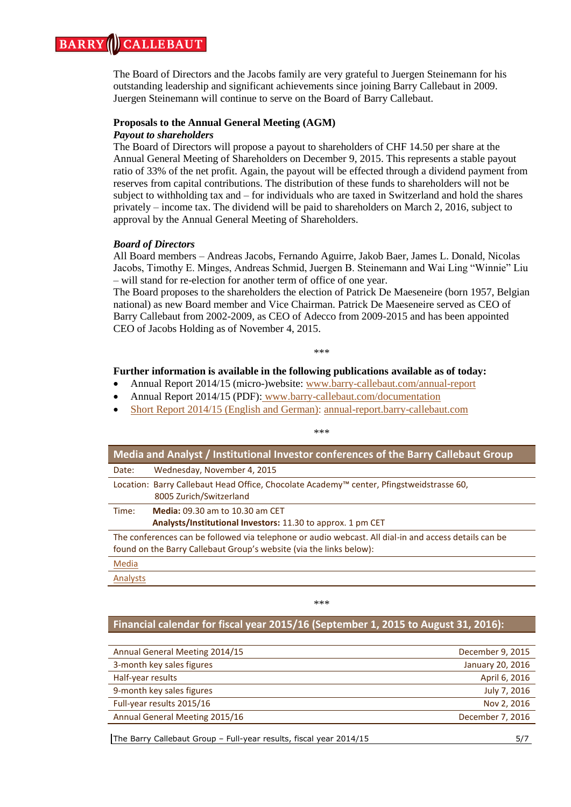#### **ALLEBAUT BARRY**

The Board of Directors and the Jacobs family are very grateful to Juergen Steinemann for his outstanding leadership and significant achievements since joining Barry Callebaut in 2009. Juergen Steinemann will continue to serve on the Board of Barry Callebaut.

# **Proposals to the Annual General Meeting (AGM)**

# *Payout to shareholders*

The Board of Directors will propose a payout to shareholders of CHF 14.50 per share at the Annual General Meeting of Shareholders on December 9, 2015. This represents a stable payout ratio of 33% of the net profit. Again, the payout will be effected through a dividend payment from reserves from capital contributions. The distribution of these funds to shareholders will not be subject to withholding tax and – for individuals who are taxed in Switzerland and hold the shares privately – income tax. The dividend will be paid to shareholders on March 2, 2016, subject to approval by the Annual General Meeting of Shareholders.

# *Board of Directors*

All Board members – Andreas Jacobs, Fernando Aguirre, Jakob Baer, James L. Donald, Nicolas Jacobs, Timothy E. Minges, Andreas Schmid, Juergen B. Steinemann and Wai Ling "Winnie" Liu – will stand for re-election for another term of office of one year.

The Board proposes to the shareholders the election of Patrick De Maeseneire (born 1957, Belgian national) as new Board member and Vice Chairman. Patrick De Maeseneire served as CEO of Barry Callebaut from 2002-2009, as CEO of Adecco from 2009-2015 and has been appointed CEO of Jacobs Holding as of November 4, 2015.

#### \*\*\*

\*\*\*

# **Further information is available in the following publications available as of today:**

- Annual Report 2014/15 (micro-)website: [www.barry-callebaut.com/annual-report](http://annual-report.barry-callebaut.com/)
- Annual Report 2014/15 (PDF): [www.barry-callebaut.com/documentation](http://www.barry-callebaut.com/documentation)
- Short Report 2014/15 (English and German): [annual-report.barry-callebaut.com](http://annual-report.barry-callebaut.com/)

| Media and Analyst / Institutional Investor conferences of the Barry Callebaut Group                                                                                          |  |  |  |  |  |
|------------------------------------------------------------------------------------------------------------------------------------------------------------------------------|--|--|--|--|--|
| Wednesday, November 4, 2015<br>Date:                                                                                                                                         |  |  |  |  |  |
| Location: Barry Callebaut Head Office, Chocolate Academy™ center, Pfingstweidstrasse 60,<br>8005 Zurich/Switzerland                                                          |  |  |  |  |  |
| <b>Media: 09.30 am to 10.30 am CET</b><br>Time:                                                                                                                              |  |  |  |  |  |
| Analysts/Institutional Investors: 11.30 to approx. 1 pm CET                                                                                                                  |  |  |  |  |  |
| The conferences can be followed via telephone or audio webcast. All dial-in and access details can be<br>found on the Barry Callebaut Group's website (via the links below): |  |  |  |  |  |
| Media                                                                                                                                                                        |  |  |  |  |  |
| Analysts                                                                                                                                                                     |  |  |  |  |  |
|                                                                                                                                                                              |  |  |  |  |  |

\*\*\*

# **Financial calendar for fiscal year 2015/16 (September 1, 2015 to August 31, 2016):**

| Annual General Meeting 2014/15 | December 9, 2015 |
|--------------------------------|------------------|
| 3-month key sales figures      | January 20, 2016 |
| Half-year results              | April 6, 2016    |
| 9-month key sales figures      | July 7, 2016     |
| Full-year results 2015/16      | Nov 2, 2016      |
| Annual General Meeting 2015/16 | December 7, 2016 |
|                                |                  |

The Barry Callebaut Group – Full-year results, fiscal year 2014/15 5/7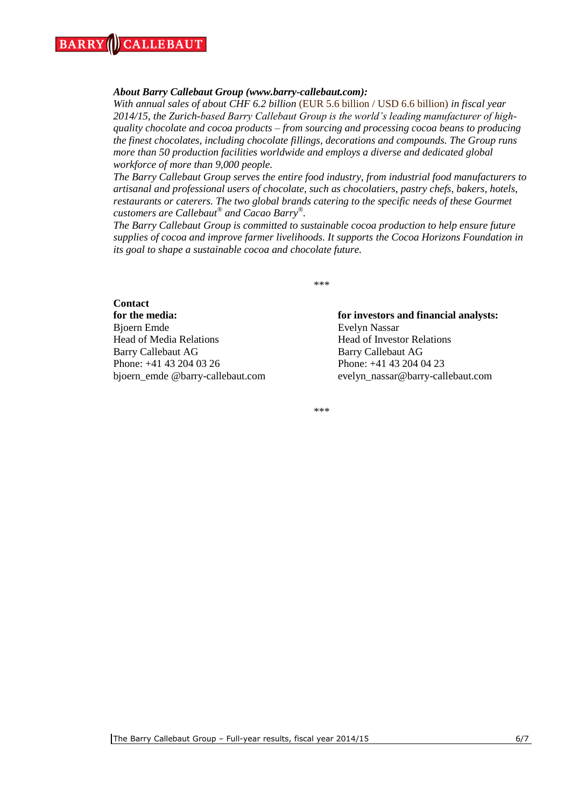## *About Barry Callebaut Group (www.barry-callebaut.com):*

*With annual sales of about CHF 6.2 billion* (EUR 5.6 billion / USD 6.6 billion) *in fiscal year 2014/15, the Zurich-based Barry Callebaut Group is the world's leading manufacturer of highquality chocolate and cocoa products – from sourcing and processing cocoa beans to producing the finest chocolates, including chocolate fillings, decorations and compounds. The Group runs more than 50 production facilities worldwide and employs a diverse and dedicated global workforce of more than 9,000 people.*

*The Barry Callebaut Group serves the entire food industry, from industrial food manufacturers to artisanal and professional users of chocolate, such as chocolatiers, pastry chefs, bakers, hotels, restaurants or caterers. The two global brands catering to the specific needs of these Gourmet customers are Callebaut® and Cacao Barry® .*

*The Barry Callebaut Group is committed to sustainable cocoa production to help ensure future supplies of cocoa and improve farmer livelihoods. It supports the Cocoa Horizons Foundation in its goal to shape a sustainable cocoa and chocolate future.*

\*\*\*

# **Contact**

Bjoern Emde Evelyn Nassar Head of Media Relations Head of Investor Relations Barry Callebaut AG Barry Callebaut AG Phone: +41 43 204 03 26 Phone: +41 43 204 04 23 bjoern\_emde @barry-callebaut.com evelyn\_nassar@barry-callebaut.com

# **for the media: for investors and financial analysts:**

\*\*\*

The Barry Callebaut Group – Full-year results, fiscal year 2014/15 6/7